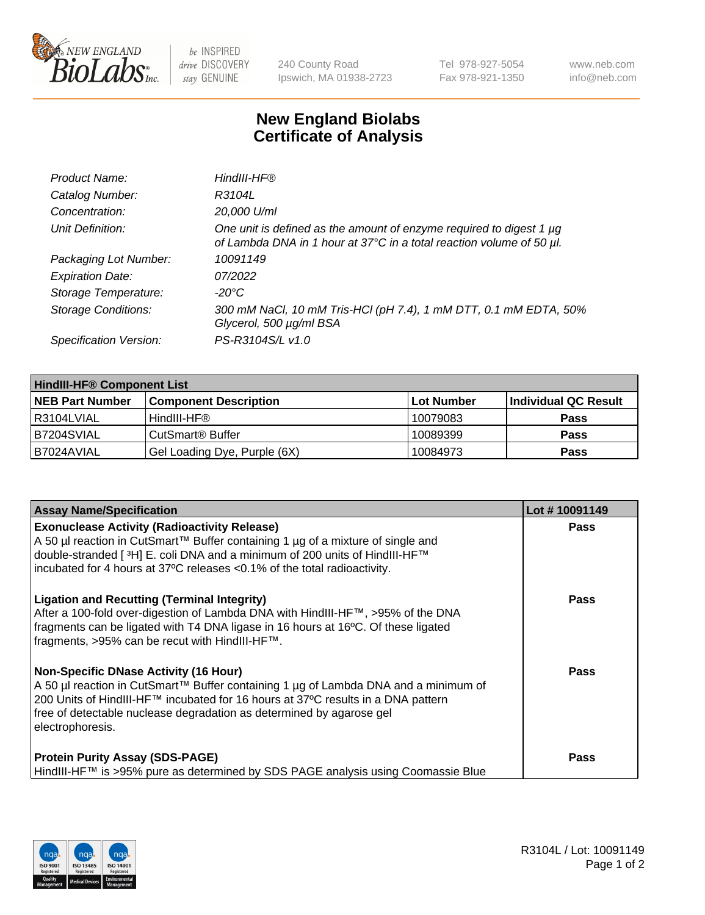

 $be$  INSPIRED drive DISCOVERY stay GENUINE

240 County Road Ipswich, MA 01938-2723 Tel 978-927-5054 Fax 978-921-1350 www.neb.com info@neb.com

## **New England Biolabs Certificate of Analysis**

| Product Name:              | HindIII-HF®                                                                                                                                 |
|----------------------------|---------------------------------------------------------------------------------------------------------------------------------------------|
| Catalog Number:            | R3104L                                                                                                                                      |
| Concentration:             | 20,000 U/ml                                                                                                                                 |
| Unit Definition:           | One unit is defined as the amount of enzyme required to digest 1 µg<br>of Lambda DNA in 1 hour at 37°C in a total reaction volume of 50 µl. |
| Packaging Lot Number:      | 10091149                                                                                                                                    |
| <b>Expiration Date:</b>    | 07/2022                                                                                                                                     |
| Storage Temperature:       | $-20^{\circ}$ C                                                                                                                             |
| <b>Storage Conditions:</b> | 300 mM NaCl, 10 mM Tris-HCl (pH 7.4), 1 mM DTT, 0.1 mM EDTA, 50%<br>Glycerol, 500 µg/ml BSA                                                 |
| Specification Version:     | PS-R3104S/L v1.0                                                                                                                            |

| <b>HindIII-HF® Component List</b> |                                    |                   |                      |  |  |
|-----------------------------------|------------------------------------|-------------------|----------------------|--|--|
| <b>NEB Part Number</b>            | <b>Component Description</b>       | <b>Lot Number</b> | Individual QC Result |  |  |
| I R3104LVIAL                      | HindIII-HF®                        | 10079083          | <b>Pass</b>          |  |  |
| B7204SVIAL                        | <b>CutSmart<sup>®</sup> Buffer</b> | 10089399          | <b>Pass</b>          |  |  |
| B7024AVIAL                        | Gel Loading Dye, Purple (6X)       | 10084973          | <b>Pass</b>          |  |  |

| <b>Assay Name/Specification</b>                                                                                                                                                                                                                                                                                 | Lot #10091149 |
|-----------------------------------------------------------------------------------------------------------------------------------------------------------------------------------------------------------------------------------------------------------------------------------------------------------------|---------------|
| <b>Exonuclease Activity (Radioactivity Release)</b><br>  A 50 µl reaction in CutSmart™ Buffer containing 1 µg of a mixture of single and<br>double-stranded [ <sup>3</sup> H] E. coli DNA and a minimum of 200 units of HindIII-HF™<br>incubated for 4 hours at 37°C releases <0.1% of the total radioactivity. | <b>Pass</b>   |
| <b>Ligation and Recutting (Terminal Integrity)</b><br>After a 100-fold over-digestion of Lambda DNA with HindIII-HF™, >95% of the DNA<br>fragments can be ligated with T4 DNA ligase in 16 hours at 16°C. Of these ligated<br>fragments, >95% can be recut with HindIII-HF™.                                    | Pass          |
| Non-Specific DNase Activity (16 Hour)<br>A 50 µl reaction in CutSmart™ Buffer containing 1 µg of Lambda DNA and a minimum of<br>200 Units of HindIII-HF™ incubated for 16 hours at 37°C results in a DNA pattern<br>free of detectable nuclease degradation as determined by agarose gel<br>electrophoresis.    | Pass          |
| <b>Protein Purity Assay (SDS-PAGE)</b><br>HindIII-HF™ is >95% pure as determined by SDS PAGE analysis using Coomassie Blue                                                                                                                                                                                      | <b>Pass</b>   |